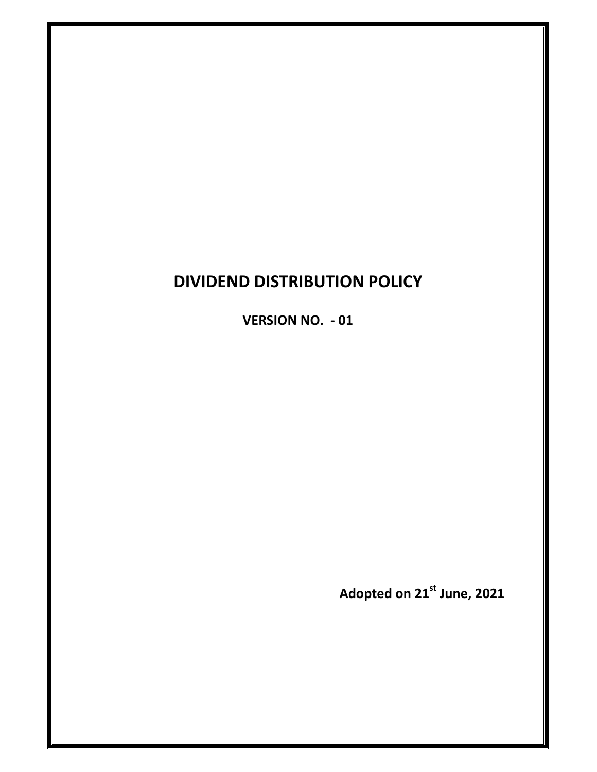# **DIVIDEND DISTRIBUTION POLICY**

**VERSION NO. - 01** 

**Adopted on 21st June, 2021**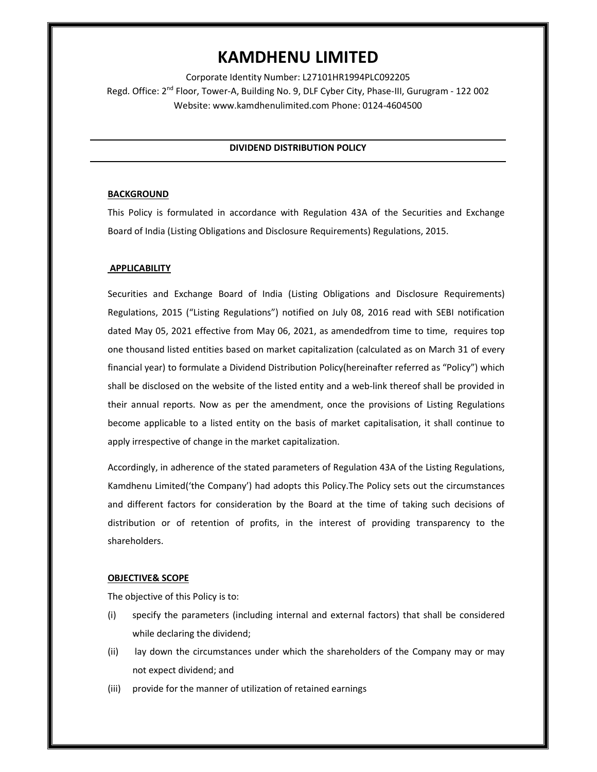# **KAMDHENU LIMITED**

Corporate Identity Number: L27101HR1994PLC092205 Regd. Office: 2<sup>nd</sup> Floor, Tower-A, Building No. 9, DLF Cyber City, Phase-III, Gurugram - 122 002 Website: www.kamdhenulimited.com Phone: 0124-4604500

# **DIVIDEND DISTRIBUTION POLICY**

## **BACKGROUND**

This Policy is formulated in accordance with Regulation 43A of the Securities and Exchange Board of India (Listing Obligations and Disclosure Requirements) Regulations, 2015.

# **APPLICABILITY**

Securities and Exchange Board of India (Listing Obligations and Disclosure Requirements) Regulations, 2015 ("Listing Regulations") notified on July 08, 2016 read with SEBI notification dated May 05, 2021 effective from May 06, 2021, as amendedfrom time to time, requires top one thousand listed entities based on market capitalization (calculated as on March 31 of every financial year) to formulate a Dividend Distribution Policy(hereinafter referred as "Policy") which shall be disclosed on the website of the listed entity and a web-link thereof shall be provided in their annual reports. Now as per the amendment, once the provisions of Listing Regulations become applicable to a listed entity on the basis of market capitalisation, it shall continue to apply irrespective of change in the market capitalization.

Accordingly, in adherence of the stated parameters of Regulation 43A of the Listing Regulations, Kamdhenu Limited('the Company') had adopts this Policy.The Policy sets out the circumstances and different factors for consideration by the Board at the time of taking such decisions of distribution or of retention of profits, in the interest of providing transparency to the shareholders.

## **OBJECTIVE& SCOPE**

The objective of this Policy is to:

- (i) specify the parameters (including internal and external factors) that shall be considered while declaring the dividend;
- (ii) lay down the circumstances under which the shareholders of the Company may or may not expect dividend; and
- (iii) provide for the manner of utilization of retained earnings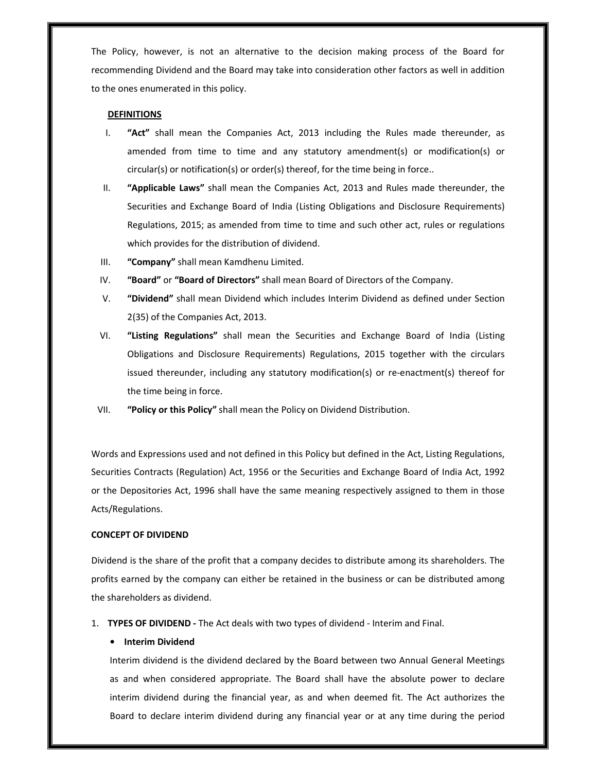The Policy, however, is not an alternative to the decision making process of the Board for recommending Dividend and the Board may take into consideration other factors as well in addition to the ones enumerated in this policy.

#### **DEFINITIONS**

- I. **"Act"** shall mean the Companies Act, 2013 including the Rules made thereunder, as amended from time to time and any statutory amendment(s) or modification(s) or circular(s) or notification(s) or order(s) thereof, for the time being in force..
- II. **"Applicable Laws"** shall mean the Companies Act, 2013 and Rules made thereunder, the Securities and Exchange Board of India (Listing Obligations and Disclosure Requirements) Regulations, 2015; as amended from time to time and such other act, rules or regulations which provides for the distribution of dividend.
- III. **"Company"** shall mean Kamdhenu Limited.
- IV. **"Board"** or **"Board of Directors"** shall mean Board of Directors of the Company.
- V. **"Dividend"** shall mean Dividend which includes Interim Dividend as defined under Section 2(35) of the Companies Act, 2013.
- VI. **"Listing Regulations"** shall mean the Securities and Exchange Board of India (Listing Obligations and Disclosure Requirements) Regulations, 2015 together with the circulars issued thereunder, including any statutory modification(s) or re-enactment(s) thereof for the time being in force.
- VII. **"Policy or this Policy"** shall mean the Policy on Dividend Distribution.

Words and Expressions used and not defined in this Policy but defined in the Act, Listing Regulations, Securities Contracts (Regulation) Act, 1956 or the Securities and Exchange Board of India Act, 1992 or the Depositories Act, 1996 shall have the same meaning respectively assigned to them in those Acts/Regulations.

#### **CONCEPT OF DIVIDEND**

Dividend is the share of the profit that a company decides to distribute among its shareholders. The profits earned by the company can either be retained in the business or can be distributed among the shareholders as dividend.

1. **TYPES OF DIVIDEND -** The Act deals with two types of dividend - Interim and Final.

#### **• Interim Dividend**

Interim dividend is the dividend declared by the Board between two Annual General Meetings as and when considered appropriate. The Board shall have the absolute power to declare interim dividend during the financial year, as and when deemed fit. The Act authorizes the Board to declare interim dividend during any financial year or at any time during the period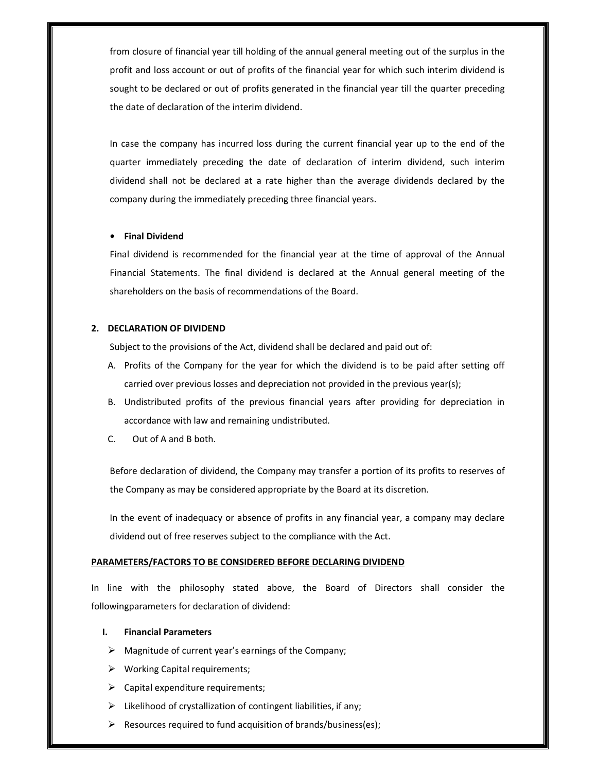from closure of financial year till holding of the annual general meeting out of the surplus in the profit and loss account or out of profits of the financial year for which such interim dividend is sought to be declared or out of profits generated in the financial year till the quarter preceding the date of declaration of the interim dividend.

In case the company has incurred loss during the current financial year up to the end of the quarter immediately preceding the date of declaration of interim dividend, such interim dividend shall not be declared at a rate higher than the average dividends declared by the company during the immediately preceding three financial years.

# **• Final Dividend**

Final dividend is recommended for the financial year at the time of approval of the Annual Financial Statements. The final dividend is declared at the Annual general meeting of the shareholders on the basis of recommendations of the Board.

## **2. DECLARATION OF DIVIDEND**

Subject to the provisions of the Act, dividend shall be declared and paid out of:

- A. Profits of the Company for the year for which the dividend is to be paid after setting off carried over previous losses and depreciation not provided in the previous year(s);
- B. Undistributed profits of the previous financial years after providing for depreciation in accordance with law and remaining undistributed.
- C. Out of A and B both.

Before declaration of dividend, the Company may transfer a portion of its profits to reserves of the Company as may be considered appropriate by the Board at its discretion.

In the event of inadequacy or absence of profits in any financial year, a company may declare dividend out of free reserves subject to the compliance with the Act.

#### **PARAMETERS/FACTORS TO BE CONSIDERED BEFORE DECLARING DIVIDEND**

In line with the philosophy stated above, the Board of Directors shall consider the followingparameters for declaration of dividend:

# **I. Financial Parameters**

- $\triangleright$  Magnitude of current year's earnings of the Company;
- $\triangleright$  Working Capital requirements;
- $\triangleright$  Capital expenditure requirements;
- $\triangleright$  Likelihood of crystallization of contingent liabilities, if any;
- $\triangleright$  Resources required to fund acquisition of brands/business(es);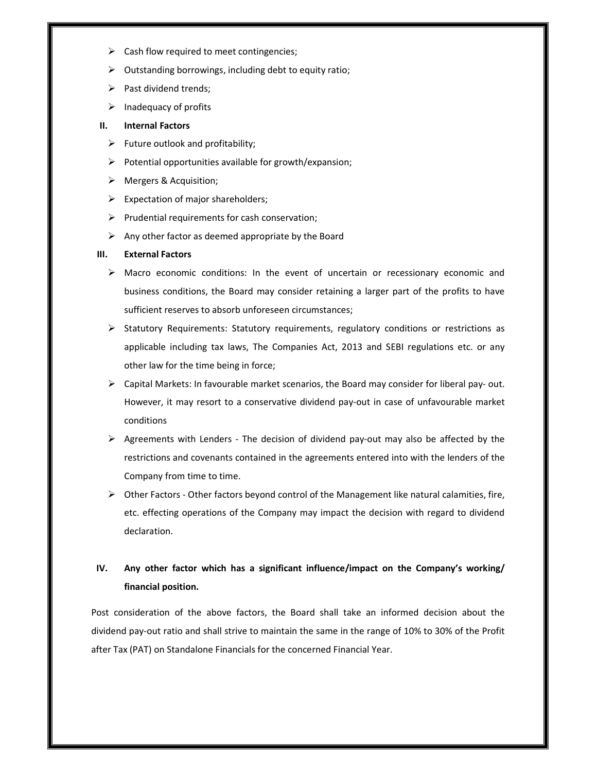- $\triangleright$  Cash flow required to meet contingencies;
- $\triangleright$  Outstanding borrowings, including debt to equity ratio;
- $\triangleright$  Past dividend trends;
- $\triangleright$  Inadequacy of profits

#### **II. Internal Factors**

- $\triangleright$  Future outlook and profitability;
- $\triangleright$  Potential opportunities available for growth/expansion;
- Mergers & Acquisition;
- $\triangleright$  Expectation of major shareholders;
- $\triangleright$  Prudential requirements for cash conservation;
- $\triangleright$  Any other factor as deemed appropriate by the Board

#### **III. External Factors**

- $\triangleright$  Macro economic conditions: In the event of uncertain or recessionary economic and business conditions, the Board may consider retaining a larger part of the profits to have sufficient reserves to absorb unforeseen circumstances;
- $\triangleright$  Statutory Requirements: Statutory requirements, regulatory conditions or restrictions as applicable including tax laws, The Companies Act, 2013 and SEBI regulations etc. or any other law for the time being in force;
- $\triangleright$  Capital Markets: In favourable market scenarios, the Board may consider for liberal pay- out. However, it may resort to a conservative dividend pay-out in case of unfavourable market conditions
- $\triangleright$  Agreements with Lenders The decision of dividend pay-out may also be affected by the restrictions and covenants contained in the agreements entered into with the lenders of the Company from time to time.
- $\triangleright$  Other Factors Other factors beyond control of the Management like natural calamities, fire, etc. effecting operations of the Company may impact the decision with regard to dividend declaration.

# **IV. Any other factor which has a significant influence/impact on the Company's working/ financial position.**

Post consideration of the above factors, the Board shall take an informed decision about the dividend pay-out ratio and shall strive to maintain the same in the range of 10% to 30% of the Profit after Tax (PAT) on Standalone Financials for the concerned Financial Year.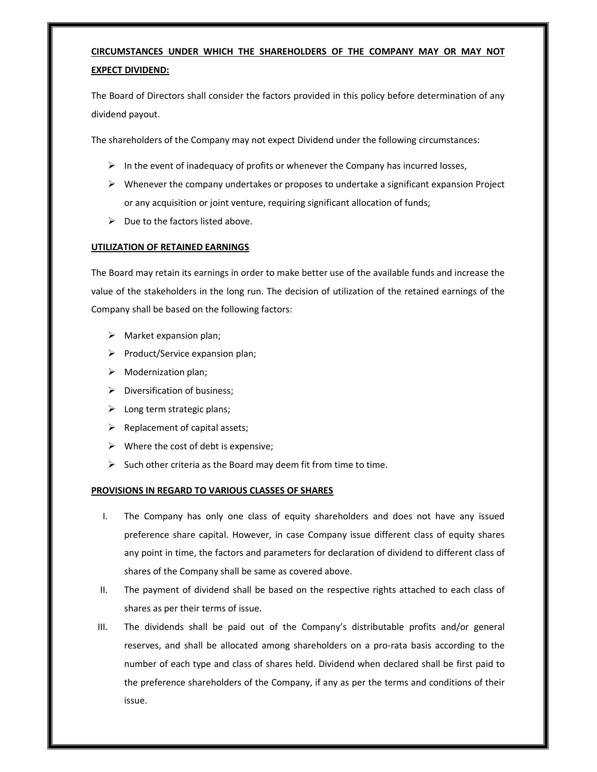# **CIRCUMSTANCES UNDER WHICH THE SHAREHOLDERS OF THE COMPANY MAY OR MAY NOT EXPECT DIVIDEND:**

The Board of Directors shall consider the factors provided in this policy before determination of any dividend payout.

The shareholders of the Company may not expect Dividend under the following circumstances:

- $\triangleright$  In the event of inadequacy of profits or whenever the Company has incurred losses,
- $\triangleright$  Whenever the company undertakes or proposes to undertake a significant expansion Project or any acquisition or joint venture, requiring significant allocation of funds;
- $\triangleright$  Due to the factors listed above.

# **UTILIZATION OF RETAINED EARNINGS**

The Board may retain its earnings in order to make better use of the available funds and increase the value of the stakeholders in the long run. The decision of utilization of the retained earnings of the Company shall be based on the following factors:

- $\triangleright$  Market expansion plan;
- $\triangleright$  Product/Service expansion plan;
- $\triangleright$  Modernization plan;
- $\triangleright$  Diversification of business;
- $\triangleright$  Long term strategic plans;
- $\triangleright$  Replacement of capital assets;
- $\triangleright$  Where the cost of debt is expensive;
- $\triangleright$  Such other criteria as the Board may deem fit from time to time.

## **PROVISIONS IN REGARD TO VARIOUS CLASSES OF SHARES**

- I. The Company has only one class of equity shareholders and does not have any issued preference share capital. However, in case Company issue different class of equity shares any point in time, the factors and parameters for declaration of dividend to different class of shares of the Company shall be same as covered above.
- II. The payment of dividend shall be based on the respective rights attached to each class of shares as per their terms of issue.
- III. The dividends shall be paid out of the Company's distributable profits and/or general reserves, and shall be allocated among shareholders on a pro-rata basis according to the number of each type and class of shares held. Dividend when declared shall be first paid to the preference shareholders of the Company, if any as per the terms and conditions of their issue.